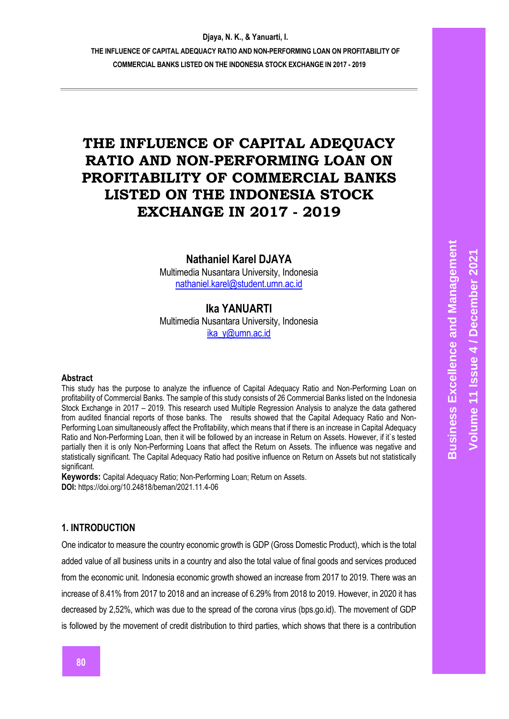**THE INFLUENCE OF CAPITAL ADEQUACY RATIO AND NON-PERFORMING LOAN ON PROFITABILITY OF COMMERCIAL BANKS LISTED ON THE INDONESIA STOCK EXCHANGE IN 2017 - 2019**

# **THE INFLUENCE OF CAPITAL ADEQUACY RATIO AND NON-PERFORMING LOAN ON PROFITABILITY OF COMMERCIAL BANKS LISTED ON THE INDONESIA STOCK EXCHANGE IN 2017 - 2019**

# **Nathaniel Karel DJAYA**

Multimedia Nusantara University, Indonesia [nathaniel.karel@student.umn.ac.id](mailto:nathaniel.karel@student.umn.ac.id)

# **Ika YANUARTI**

Multimedia Nusantara University, Indonesia [ika\\_y@umn.ac.id](mailto:ika_y@umn.ac.id)

#### **Abstract**

This study has the purpose to analyze the influence of Capital Adequacy Ratio and Non-Performing Loan on profitability of Commercial Banks. The sample of this study consists of 26 Commercial Banks listed on the Indonesia Stock Exchange in 2017 – 2019. This research used Multiple Regression Analysis to analyze the data gathered from audited financial reports of those banks. The results showed that the Capital Adequacy Ratio and Non-Performing Loan simultaneously affect the Profitability, which means that if there is an increase in Capital Adequacy Ratio and Non-Performing Loan, then it will be followed by an increase in Return on Assets. However, if it's tested partially then it is only Non-Performing Loans that affect the Return on Assets. The influence was negative and statistically significant. The Capital Adequacy Ratio had positive influence on Return on Assets but not statistically significant.

**Keywords:** Capital Adequacy Ratio; Non-Performing Loan; Return on Assets. **DOI:** https://doi.org/10.24818/beman/2021.11.4-06

## **1. INTRODUCTION**

One indicator to measure the country economic growth is GDP (Gross Domestic Product), which is the total added value of all business units in a country and also the total value of final goods and services produced from the economic unit. Indonesia economic growth showed an increase from 2017 to 2019. There was an increase of 8.41% from 2017 to 2018 and an increase of 6.29% from 2018 to 2019. However, in 2020 it has decreased by 2,52%, which was due to the spread of the corona virus (bps.go.id). The movement of GDP is followed by the movement of credit distribution to third parties, which shows that there is a contribution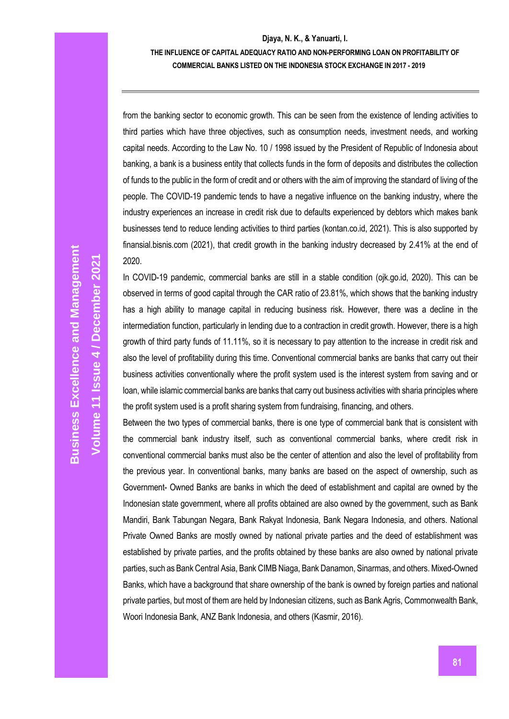### **THE INFLUENCE OF CAPITAL ADEQUACY RATIO AND NON-PERFORMING LOAN ON PROFITABILITY OF COMMERCIAL BANKS LISTED ON THE INDONESIA STOCK EXCHANGE IN 2017 - 2019**

from the banking sector to economic growth. This can be seen from the existence of lending activities to third parties which have three objectives, such as consumption needs, investment needs, and working capital needs. According to the Law No. 10 / 1998 issued by the President of Republic of Indonesia about banking, a bank is a business entity that collects funds in the form of deposits and distributes the collection of funds to the public in the form of credit and or others with the aim of improving the standard of living of the people. The COVID-19 pandemic tends to have a negative influence on the banking industry, where the industry experiences an increase in credit risk due to defaults experienced by debtors which makes bank businesses tend to reduce lending activities to third parties (kontan.co.id, 2021). This is also supported by finansial.bisnis.com (2021), that credit growth in the banking industry decreased by 2.41% at the end of 2020.

In COVID-19 pandemic, commercial banks are still in a stable condition (ojk.go.id, 2020). This can be observed in terms of good capital through the CAR ratio of 23.81%, which shows that the banking industry has a high ability to manage capital in reducing business risk. However, there was a decline in the intermediation function, particularly in lending due to a contraction in credit growth. However, there is a high growth of third party funds of 11.11%, so it is necessary to pay attention to the increase in credit risk and also the level of profitability during this time. Conventional commercial banks are banks that carry out their business activities conventionally where the profit system used is the interest system from saving and or loan, while islamic commercial banks are banks that carry out business activities with sharia principles where the profit system used is a profit sharing system from fundraising, financing, and others.

Between the two types of commercial banks, there is one type of commercial bank that is consistent with the commercial bank industry itself, such as conventional commercial banks, where credit risk in conventional commercial banks must also be the center of attention and also the level of profitability from the previous year. In conventional banks, many banks are based on the aspect of ownership, such as Government- Owned Banks are banks in which the deed of establishment and capital are owned by the Indonesian state government, where all profits obtained are also owned by the government, such as Bank Mandiri, Bank Tabungan Negara, Bank Rakyat Indonesia, Bank Negara Indonesia, and others. National Private Owned Banks are mostly owned by national private parties and the deed of establishment was established by private parties, and the profits obtained by these banks are also owned by national private parties, such as Bank Central Asia, Bank CIMB Niaga, Bank Danamon, Sinarmas, and others. Mixed-Owned Banks, which have a background that share ownership of the bank is owned by foreign parties and national private parties, but most of them are held by Indonesian citizens, such as Bank Agris, Commonwealth Bank, Woori Indonesia Bank, ANZ Bank Indonesia, and others (Kasmir, 2016).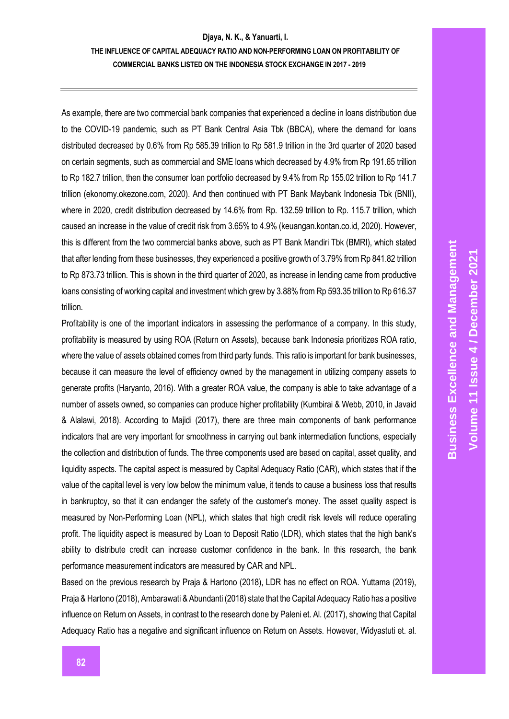## **THE INFLUENCE OF CAPITAL ADEQUACY RATIO AND NON-PERFORMING LOAN ON PROFITABILITY OF COMMERCIAL BANKS LISTED ON THE INDONESIA STOCK EXCHANGE IN 2017 - 2019**

As example, there are two commercial bank companies that experienced a decline in loans distribution due to the COVID-19 pandemic, such as PT Bank Central Asia Tbk (BBCA), where the demand for loans distributed decreased by 0.6% from Rp 585.39 trillion to Rp 581.9 trillion in the 3rd quarter of 2020 based on certain segments, such as commercial and SME loans which decreased by 4.9% from Rp 191.65 trillion to Rp 182.7 trillion, then the consumer loan portfolio decreased by 9.4% from Rp 155.02 trillion to Rp 141.7 trillion (ekonomy.okezone.com, 2020). And then continued with PT Bank Maybank Indonesia Tbk (BNII), where in 2020, credit distribution decreased by 14.6% from Rp. 132.59 trillion to Rp. 115.7 trillion, which caused an increase in the value of credit risk from 3.65% to 4.9% (keuangan.kontan.co.id, 2020). However, this is different from the two commercial banks above, such as PT Bank Mandiri Tbk (BMRI), which stated that after lending from these businesses, they experienced a positive growth of 3.79% from Rp 841.82 trillion to Rp 873.73 trillion. This is shown in the third quarter of 2020, as increase in lending came from productive loans consisting of working capital and investment which grew by 3.88% from Rp 593.35 trillion to Rp 616.37 trillion.

Profitability is one of the important indicators in assessing the performance of a company. In this study, profitability is measured by using ROA (Return on Assets), because bank Indonesia prioritizes ROA ratio, where the value of assets obtained comes from third party funds. This ratio is important for bank businesses, because it can measure the level of efficiency owned by the management in utilizing company assets to generate profits (Haryanto, 2016). With a greater ROA value, the company is able to take advantage of a number of assets owned, so companies can produce higher profitability (Kumbirai & Webb, 2010, in Javaid & Alalawi, 2018). According to Majidi (2017), there are three main components of bank performance indicators that are very important for smoothness in carrying out bank intermediation functions, especially the collection and distribution of funds. The three components used are based on capital, asset quality, and liquidity aspects. The capital aspect is measured by Capital Adequacy Ratio (CAR), which states that if the value of the capital level is very low below the minimum value, it tends to cause a business loss that results in bankruptcy, so that it can endanger the safety of the customer's money. The asset quality aspect is measured by Non-Performing Loan (NPL), which states that high credit risk levels will reduce operating profit. The liquidity aspect is measured by Loan to Deposit Ratio (LDR), which states that the high bank's ability to distribute credit can increase customer confidence in the bank. In this research, the bank performance measurement indicators are measured by CAR and NPL.

Based on the previous research by Praja & Hartono (2018), LDR has no effect on ROA. Yuttama (2019), Praja & Hartono (2018), Ambarawati & Abundanti (2018) state that the Capital Adequacy Ratio has a positive influence on Return on Assets, in contrast to the research done by Paleni et. Al. (2017), showing that Capital Adequacy Ratio has a negative and significant influence on Return on Assets. However, Widyastuti et. al.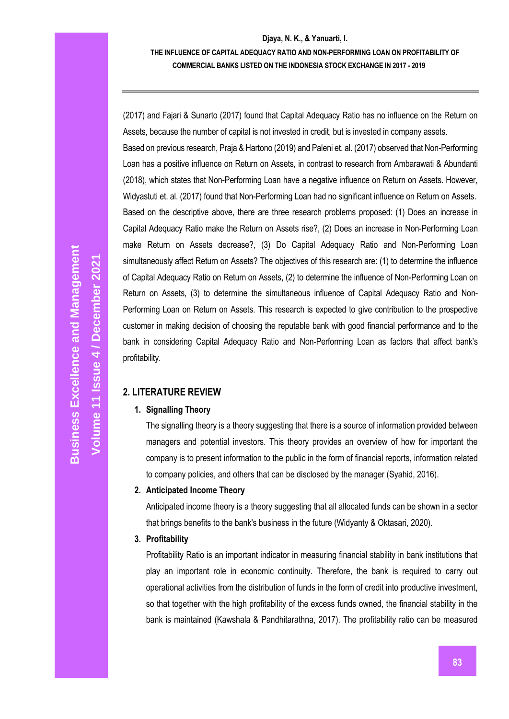(2017) and Fajari & Sunarto (2017) found that Capital Adequacy Ratio has no influence on the Return on Assets, because the number of capital is not invested in credit, but is invested in company assets.

Based on previous research, Praja & Hartono (2019) and Paleni et. al. (2017) observed that Non-Performing Loan has a positive influence on Return on Assets, in contrast to research from Ambarawati & Abundanti (2018), which states that Non-Performing Loan have a negative influence on Return on Assets. However, Widyastuti et. al. (2017) found that Non-Performing Loan had no significant influence on Return on Assets. Based on the descriptive above, there are three research problems proposed: (1) Does an increase in Capital Adequacy Ratio make the Return on Assets rise?, (2) Does an increase in Non-Performing Loan make Return on Assets decrease?, (3) Do Capital Adequacy Ratio and Non-Performing Loan simultaneously affect Return on Assets? The objectives of this research are: (1) to determine the influence of Capital Adequacy Ratio on Return on Assets, (2) to determine the influence of Non-Performing Loan on Return on Assets, (3) to determine the simultaneous influence of Capital Adequacy Ratio and Non-Performing Loan on Return on Assets. This research is expected to give contribution to the prospective customer in making decision of choosing the reputable bank with good financial performance and to the bank in considering Capital Adequacy Ratio and Non-Performing Loan as factors that affect bank's profitability.

# **2. LITERATURE REVIEW**

# **1. Signalling Theory**

The signalling theory is a theory suggesting that there is a source of information provided between managers and potential investors. This theory provides an overview of how for important the company is to present information to the public in the form of financial reports, information related to company policies, and others that can be disclosed by the manager (Syahid, 2016).

# **2. Anticipated Income Theory**

Anticipated income theory is a theory suggesting that all allocated funds can be shown in a sector that brings benefits to the bank's business in the future (Widyanty & Oktasari, 2020).

# **3. Profitability**

Profitability Ratio is an important indicator in measuring financial stability in bank institutions that play an important role in economic continuity. Therefore, the bank is required to carry out operational activities from the distribution of funds in the form of credit into productive investment, so that together with the high profitability of the excess funds owned, the financial stability in the bank is maintained (Kawshala & Pandhitarathna, 2017). The profitability ratio can be measured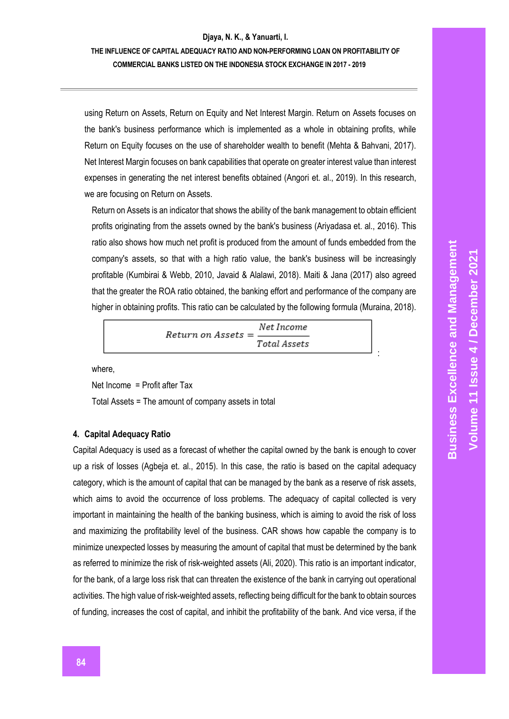# **THE INFLUENCE OF CAPITAL ADEQUACY RATIO AND NON-PERFORMING LOAN ON PROFITABILITY OF COMMERCIAL BANKS LISTED ON THE INDONESIA STOCK EXCHANGE IN 2017 - 2019**

using Return on Assets, Return on Equity and Net Interest Margin. Return on Assets focuses on the bank's business performance which is implemented as a whole in obtaining profits, while Return on Equity focuses on the use of shareholder wealth to benefit (Mehta & Bahvani, 2017). Net Interest Margin focuses on bank capabilities that operate on greater interest value than interest expenses in generating the net interest benefits obtained (Angori et. al., 2019). In this research, we are focusing on Return on Assets.

Return on Assets is an indicator that shows the ability of the bank management to obtain efficient profits originating from the assets owned by the bank's business (Ariyadasa et. al., 2016). This ratio also shows how much net profit is produced from the amount of funds embedded from the company's assets, so that with a high ratio value, the bank's business will be increasingly profitable (Kumbirai & Webb, 2010, Javaid & Alalawi, 2018). Maiti & Jana (2017) also agreed that the greater the ROA ratio obtained, the banking effort and performance of the company are higher in obtaining profits. This ratio can be calculated by the following formula (Muraina, 2018).

|                           | Net Income   |
|---------------------------|--------------|
| $Return on Assets = \_\_$ | Total Assets |

where,

Net Income *=* Profit after Tax

Total Assets = The amount of company assets in total

### **4. Capital Adequacy Ratio**

Capital Adequacy is used as a forecast of whether the capital owned by the bank is enough to cover up a risk of losses (Agbeja et. al., 2015). In this case, the ratio is based on the capital adequacy category, which is the amount of capital that can be managed by the bank as a reserve of risk assets, which aims to avoid the occurrence of loss problems. The adequacy of capital collected is very important in maintaining the health of the banking business, which is aiming to avoid the risk of loss and maximizing the profitability level of the business. CAR shows how capable the company is to minimize unexpected losses by measuring the amount of capital that must be determined by the bank as referred to minimize the risk of risk-weighted assets (Ali, 2020). This ratio is an important indicator, for the bank, of a large loss risk that can threaten the existence of the bank in carrying out operational activities. The high value of risk-weighted assets, reflecting being difficult for the bank to obtain sources of funding, increases the cost of capital, and inhibit the profitability of the bank. And vice versa, if the

: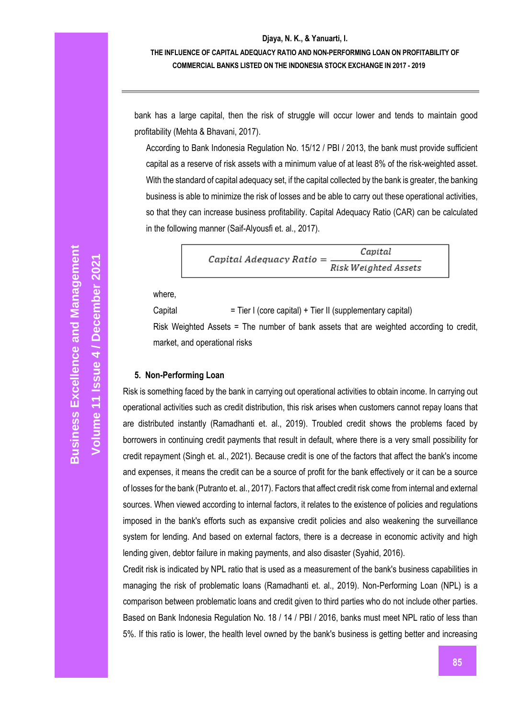# **THE INFLUENCE OF CAPITAL ADEQUACY RATIO AND NON-PERFORMING LOAN ON PROFITABILITY OF COMMERCIAL BANKS LISTED ON THE INDONESIA STOCK EXCHANGE IN 2017 - 2019**

bank has a large capital, then the risk of struggle will occur lower and tends to maintain good profitability (Mehta & Bhavani, 2017).

According to Bank Indonesia Regulation No. 15/12 / PBI / 2013, the bank must provide sufficient capital as a reserve of risk assets with a minimum value of at least 8% of the risk-weighted asset. With the standard of capital adequacy set, if the capital collected by the bank is greater, the banking business is able to minimize the risk of losses and be able to carry out these operational activities, so that they can increase business profitability. Capital Adequacy Ratio (CAR) can be calculated in the following manner (Saif-Alyousfi et. al., 2017).

> Capital  $Capital$   $A$ dequacy  $Ratio =$ Risk Weighted Assets

where,

Capital = Tier I (core capital) + Tier II (supplementary capital)

Risk Weighted Assets = The number of bank assets that are weighted according to credit, market, and operational risks

### **5. Non-Performing Loan**

Risk is something faced by the bank in carrying out operational activities to obtain income. In carrying out operational activities such as credit distribution, this risk arises when customers cannot repay loans that are distributed instantly (Ramadhanti et. al., 2019). Troubled credit shows the problems faced by borrowers in continuing credit payments that result in default, where there is a very small possibility for credit repayment (Singh et. al., 2021). Because credit is one of the factors that affect the bank's income and expenses, it means the credit can be a source of profit for the bank effectively or it can be a source of losses for the bank (Putranto et. al., 2017). Factors that affect credit risk come from internal and external sources. When viewed according to internal factors, it relates to the existence of policies and regulations imposed in the bank's efforts such as expansive credit policies and also weakening the surveillance system for lending. And based on external factors, there is a decrease in economic activity and high lending given, debtor failure in making payments, and also disaster (Syahid, 2016).

Credit risk is indicated by NPL ratio that is used as a measurement of the bank's business capabilities in managing the risk of problematic loans (Ramadhanti et. al., 2019). Non-Performing Loan (NPL) is a comparison between problematic loans and credit given to third parties who do not include other parties. Based on Bank Indonesia Regulation No. 18 / 14 / PBI / 2016, banks must meet NPL ratio of less than 5%. If this ratio is lower, the health level owned by the bank's business is getting better and increasing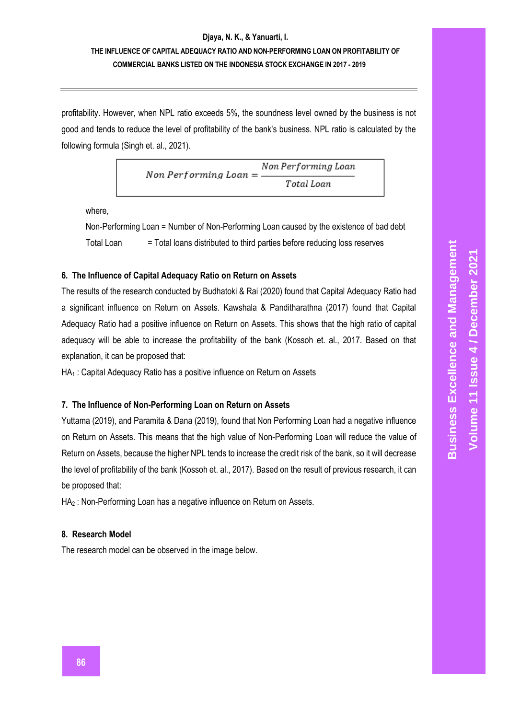# **Djaya, N. K., & Yanuarti, I. THE INFLUENCE OF CAPITAL ADEQUACY RATIO AND NON-PERFORMING LOAN ON PROFITABILITY OF COMMERCIAL BANKS LISTED ON THE INDONESIA STOCK EXCHANGE IN 2017 - 2019**

profitability. However, when NPL ratio exceeds 5%, the soundness level owned by the business is not good and tends to reduce the level of profitability of the bank's business. NPL ratio is calculated by the following formula (Singh et. al., 2021).

> Non Performing Loan Non Performing Loan  $=$ Total Loan

where,

Non-Performing Loan = Number of Non-Performing Loan caused by the existence of bad debt Total Loan = Total loans distributed to third parties before reducing loss reserves

### **6. The Influence of Capital Adequacy Ratio on Return on Assets**

The results of the research conducted by Budhatoki & Rai (2020) found that Capital Adequacy Ratio had a significant influence on Return on Assets. Kawshala & Panditharathna (2017) found that Capital Adequacy Ratio had a positive influence on Return on Assets. This shows that the high ratio of capital adequacy will be able to increase the profitability of the bank (Kossoh et. al., 2017. Based on that explanation, it can be proposed that:

HA<sub>1</sub> : Capital Adequacy Ratio has a positive influence on Return on Assets

#### **7. The Influence of Non-Performing Loan on Return on Assets**

Yuttama (2019), and Paramita & Dana (2019), found that Non Performing Loan had a negative influence on Return on Assets. This means that the high value of Non-Performing Loan will reduce the value of Return on Assets, because the higher NPL tends to increase the credit risk of the bank, so it will decrease the level of profitability of the bank (Kossoh et. al., 2017). Based on the result of previous research, it can be proposed that:

HA<sub>2</sub> : Non-Performing Loan has a negative influence on Return on Assets.

#### **8. Research Model**

The research model can be observed in the image below.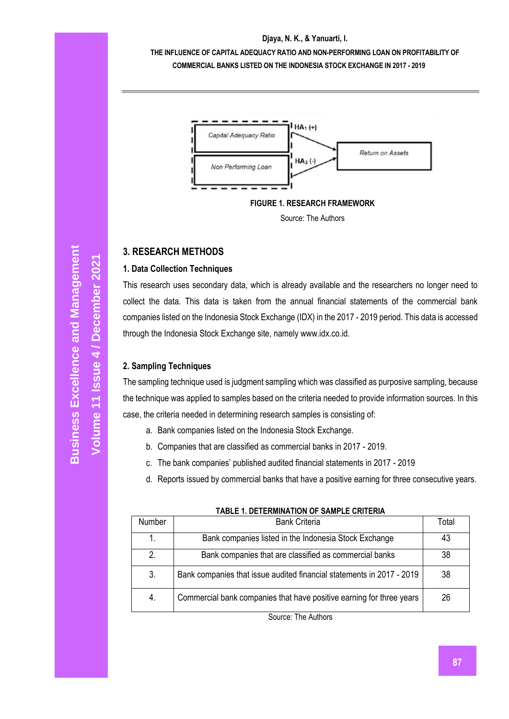**THE INFLUENCE OF CAPITAL ADEQUACY RATIO AND NON-PERFORMING LOAN ON PROFITABILITY OF COMMERCIAL BANKS LISTED ON THE INDONESIA STOCK EXCHANGE IN 2017 - 2019**





# **3. RESEARCH METHODS**

# **1. Data Collection Techniques**

This research uses secondary data, which is already available and the researchers no longer need to collect the data. This data is taken from the annual financial statements of the commercial bank companies listed on the Indonesia Stock Exchange (IDX) in the 2017 - 2019 period. This data is accessed through the Indonesia Stock Exchange site, namely www.idx.co.id.

# **2. Sampling Techniques**

The sampling technique used is judgment sampling which was classified as purposive sampling, because the technique was applied to samples based on the criteria needed to provide information sources. In this case, the criteria needed in determining research samples is consisting of:

- a. Bank companies listed on the Indonesia Stock Exchange.
- b. Companies that are classified as commercial banks in 2017 2019.
- c. The bank companies' published audited financial statements in 2017 2019
- d. Reports issued by commercial banks that have a positive earning for three consecutive years.

| Number | <b>Bank Criteria</b>                                                  | Total |
|--------|-----------------------------------------------------------------------|-------|
|        | Bank companies listed in the Indonesia Stock Exchange                 | 43    |
|        | Bank companies that are classified as commercial banks                | 38    |
| 3.     | Bank companies that issue audited financial statements in 2017 - 2019 | 38    |
| 4.     | Commercial bank companies that have positive earning for three years  | 26    |
|        |                                                                       |       |

# **TABLE 1. DETERMINATION OF SAMPLE CRITERIA**

Source: The Authors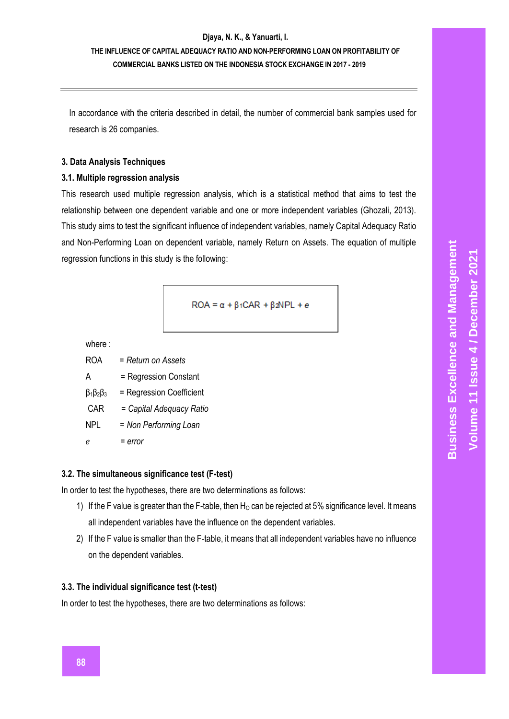# **Djaya, N. K., & Yanuarti, I. THE INFLUENCE OF CAPITAL ADEQUACY RATIO AND NON-PERFORMING LOAN ON PROFITABILITY OF COMMERCIAL BANKS LISTED ON THE INDONESIA STOCK EXCHANGE IN 2017 - 2019**

In accordance with the criteria described in detail, the number of commercial bank samples used for research is 26 companies.

#### **3. Data Analysis Techniques**

### **3.1. Multiple regression analysis**

This research used multiple regression analysis, which is a statistical method that aims to test the relationship between one dependent variable and one or more independent variables (Ghozali, 2013). This study aims to test the significant influence of independent variables, namely Capital Adequacy Ratio and Non-Performing Loan on dependent variable, namely Return on Assets. The equation of multiple regression functions in this study is the following:

$$
ROA = \alpha + \beta_1 CAR + \beta_2 NPL + e
$$

where :

ROA = *Return on Assets*

Α = Regression Constant

 $β<sub>1</sub>β<sub>2</sub>β<sub>3</sub> = Regression Coefficient$ 

CAR = *Capital Adequacy Ratio*

NPL = *Non Performing Loan*

= *error*

## **3.2. The simultaneous significance test (F-test)**

In order to test the hypotheses, there are two determinations as follows:

- 1) If the F value is greater than the F-table, then  $H_0$  can be rejected at 5% significance level. It means all independent variables have the influence on the dependent variables.
- 2) If the F value is smaller than the F-table, it means that all independent variables have no influence on the dependent variables.

### **3.3. The individual significance test (t-test)**

In order to test the hypotheses, there are two determinations as follows: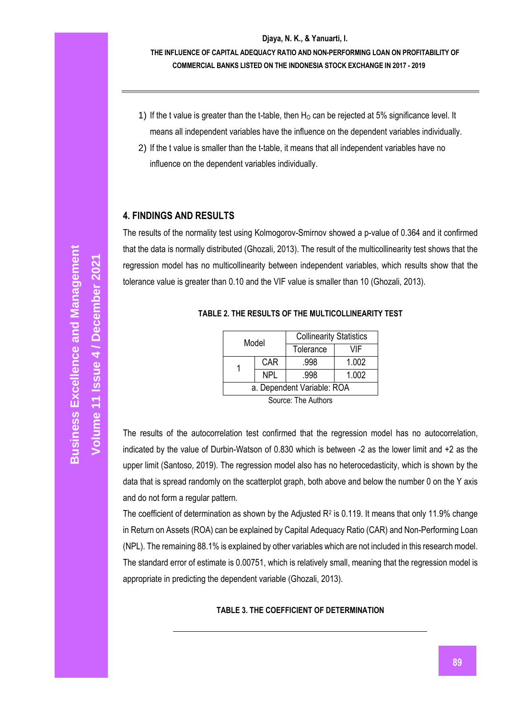- 1) If the t value is greater than the t-table, then  $H<sub>0</sub>$  can be rejected at 5% significance level. It means all independent variables have the influence on the dependent variables individually.
- 2) If the t value is smaller than the t-table, it means that all independent variables have no influence on the dependent variables individually.

# **4. FINDINGS AND RESULTS**

The results of the normality test using Kolmogorov-Smirnov showed a p-value of 0.364 and it confirmed that the data is normally distributed (Ghozali, 2013). The result of the multicollinearity test shows that the regression model has no multicollinearity between independent variables, which results show that the tolerance value is greater than 0.10 and the VIF value is smaller than 10 (Ghozali, 2013).

| <b>Collinearity Statistics</b> |
|--------------------------------|
|                                |

**TABLE 2. THE RESULTS OF THE MULTICOLLINEARITY TEST**

| Model                      |            | <b>Collinearity Statistics</b> |       |  |  |
|----------------------------|------------|--------------------------------|-------|--|--|
|                            |            | Tolerance                      | VIF   |  |  |
|                            | <b>CAR</b> | .998                           | 1.002 |  |  |
|                            | <b>NPL</b> | .998                           | 1.002 |  |  |
| a. Dependent Variable: ROA |            |                                |       |  |  |
| $\ddot{\phantom{a}}$       |            |                                |       |  |  |

Source: The Authors

The results of the autocorrelation test confirmed that the regression model has no autocorrelation, indicated by the value of Durbin-Watson of 0.830 which is between -2 as the lower limit and +2 as the upper limit (Santoso, 2019). The regression model also has no heterocedasticity, which is shown by the data that is spread randomly on the scatterplot graph, both above and below the number 0 on the Y axis and do not form a regular pattern.

The coefficient of determination as shown by the Adjusted  $R^2$  is 0.119. It means that only 11.9% change in Return on Assets (ROA) can be explained by Capital Adequacy Ratio (CAR) and Non-Performing Loan (NPL). The remaining 88.1% is explained by other variables which are not included in this research model. The standard error of estimate is 0.00751, which is relatively small, meaning that the regression model is appropriate in predicting the dependent variable (Ghozali, 2013).

### **TABLE 3. THE COEFFICIENT OF DETERMINATION**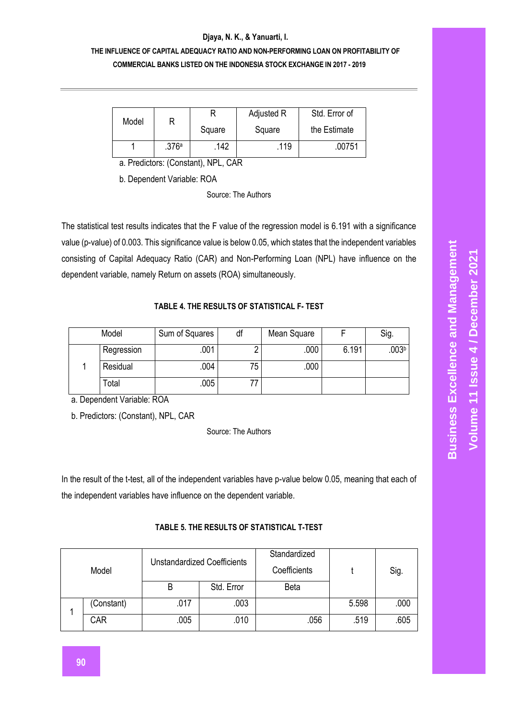# **THE INFLUENCE OF CAPITAL ADEQUACY RATIO AND NON-PERFORMING LOAN ON PROFITABILITY OF COMMERCIAL BANKS LISTED ON THE INDONESIA STOCK EXCHANGE IN 2017 - 2019**

| Model |       |        | Adjusted R | Std. Error of |  |
|-------|-------|--------|------------|---------------|--|
|       |       | Square | Square     | the Estimate  |  |
|       | .376a | 142    | .119       | .00751        |  |

a. Predictors: (Constant), NPL, CAR

b. Dependent Variable: ROA

Source: The Authors

The statistical test results indicates that the F value of the regression model is 6.191 with a significance value (p-value) of 0.003. This significance value is below 0.05, which states that the independent variables consisting of Capital Adequacy Ratio (CAR) and Non-Performing Loan (NPL) have influence on the dependent variable, namely Return on assets (ROA) simultaneously.

### **TABLE 4. THE RESULTS OF STATISTICAL F- TEST**

| Model      | Sum of Squares | df | Mean Square |       | Sig.              |
|------------|----------------|----|-------------|-------|-------------------|
| Regression | .001           |    | .000        | 6.191 | .003 <sup>b</sup> |
| Residual   | .004           | 75 | 000         |       |                   |
| Total      | .005           |    |             |       |                   |

a. Dependent Variable: ROA

b. Predictors: (Constant), NPL, CAR

Source: The Authors

In the result of the t-test, all of the independent variables have p-value below 0.05, meaning that each of the independent variables have influence on the dependent variable.

| Model |            | <b>Unstandardized Coefficients</b> |            | Standardized<br>Coefficients |       | Sig. |
|-------|------------|------------------------------------|------------|------------------------------|-------|------|
|       |            | B                                  | Std. Error | <b>Beta</b>                  |       |      |
|       | (Constant) | .017                               | .003       |                              | 5.598 | .000 |
|       | CAR        | .005                               | .010       | .056                         | .519  | .605 |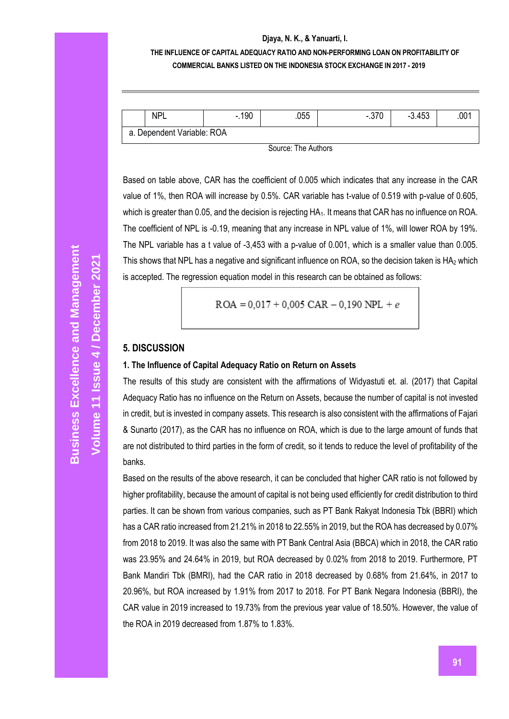# **THE INFLUENCE OF CAPITAL ADEQUACY RATIO AND NON-PERFORMING LOAN ON PROFITABILITY OF COMMERCIAL BANKS LISTED ON THE INDONESIA STOCK EXCHANGE IN 2017 - 2019**

| NP'                        | .190<br>- | .055 | 070<br>-<br>.u i u | $-3.453$ | .001 |
|----------------------------|-----------|------|--------------------|----------|------|
| a. Dependent Variable: ROA |           |      |                    |          |      |

Source: The Authors

Based on table above, CAR has the coefficient of 0.005 which indicates that any increase in the CAR value of 1%, then ROA will increase by 0.5%. CAR variable has t-value of 0.519 with p-value of 0.605, which is greater than 0.05, and the decision is rejecting HA<sub>1</sub>. It means that CAR has no influence on ROA. The coefficient of NPL is -0.19, meaning that any increase in NPL value of 1%, will lower ROA by 19%. The NPL variable has a t value of -3,453 with a p-value of 0.001, which is a smaller value than 0.005. This shows that NPL has a negative and significant influence on ROA, so the decision taken is  $HA<sub>2</sub>$  which is accepted. The regression equation model in this research can be obtained as follows:

$$
ROA = 0.017 + 0.005 \text{ CAR} - 0.190 \text{ NPL} + e
$$

### **5. DISCUSSION**

#### **1. The Influence of Capital Adequacy Ratio on Return on Assets**

The results of this study are consistent with the affirmations of Widyastuti et. al. (2017) that Capital Adequacy Ratio has no influence on the Return on Assets, because the number of capital is not invested in credit, but is invested in company assets. This research is also consistent with the affirmations of Fajari & Sunarto (2017), as the CAR has no influence on ROA, which is due to the large amount of funds that are not distributed to third parties in the form of credit, so it tends to reduce the level of profitability of the banks.

Based on the results of the above research, it can be concluded that higher CAR ratio is not followed by higher profitability, because the amount of capital is not being used efficiently for credit distribution to third parties. It can be shown from various companies, such as PT Bank Rakyat Indonesia Tbk (BBRI) which has a CAR ratio increased from 21.21% in 2018 to 22.55% in 2019, but the ROA has decreased by 0.07% from 2018 to 2019. It was also the same with PT Bank Central Asia (BBCA) which in 2018, the CAR ratio was 23.95% and 24.64% in 2019, but ROA decreased by 0.02% from 2018 to 2019. Furthermore, PT Bank Mandiri Tbk (BMRI), had the CAR ratio in 2018 decreased by 0.68% from 21.64%, in 2017 to 20.96%, but ROA increased by 1.91% from 2017 to 2018. For PT Bank Negara Indonesia (BBRI), the CAR value in 2019 increased to 19.73% from the previous year value of 18.50%. However, the value of the ROA in 2019 decreased from 1.87% to 1.83%.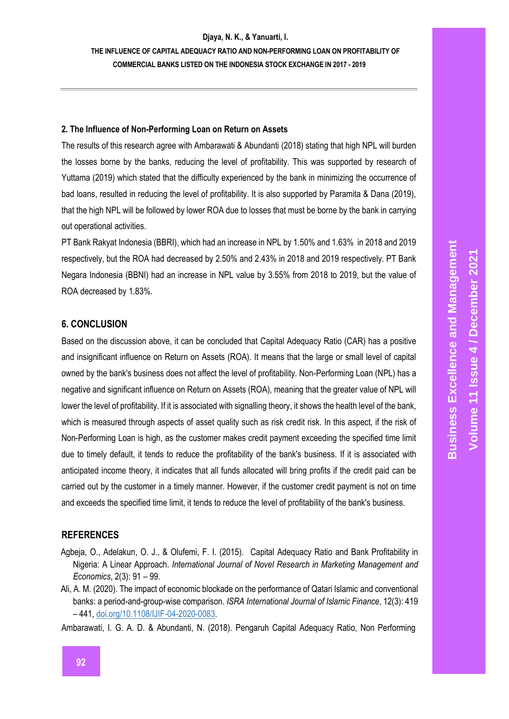**COMMERCIAL BANKS LISTED ON THE INDONESIA STOCK EXCHANGE IN 2017 - 2019**

### **2. The Influence of Non-Performing Loan on Return on Assets**

The results of this research agree with Ambarawati & Abundanti (2018) stating that high NPL will burden the losses borne by the banks, reducing the level of profitability. This was supported by research of Yuttama (2019) which stated that the difficulty experienced by the bank in minimizing the occurrence of bad loans, resulted in reducing the level of profitability. It is also supported by Paramita & Dana (2019), that the high NPL will be followed by lower ROA due to losses that must be borne by the bank in carrying out operational activities.

PT Bank Rakyat Indonesia (BBRI), which had an increase in NPL by 1.50% and 1.63% in 2018 and 2019 respectively, but the ROA had decreased by 2.50% and 2.43% in 2018 and 2019 respectively. PT Bank Negara Indonesia (BBNI) had an increase in NPL value by 3.55% from 2018 to 2019, but the value of ROA decreased by 1.83%.

# **6. CONCLUSION**

Based on the discussion above, it can be concluded that Capital Adequacy Ratio (CAR) has a positive and insignificant influence on Return on Assets (ROA). It means that the large or small level of capital owned by the bank's business does not affect the level of profitability. Non-Performing Loan (NPL) has a negative and significant influence on Return on Assets (ROA), meaning that the greater value of NPL will lower the level of profitability. If it is associated with signalling theory, it shows the health level of the bank, which is measured through aspects of asset quality such as risk credit risk. In this aspect, if the risk of Non-Performing Loan is high, as the customer makes credit payment exceeding the specified time limit due to timely default, it tends to reduce the profitability of the bank's business. If it is associated with anticipated income theory, it indicates that all funds allocated will bring profits if the credit paid can be carried out by the customer in a timely manner. However, if the customer credit payment is not on time and exceeds the specified time limit, it tends to reduce the level of profitability of the bank's business.

# **REFERENCES**

- Agbeja, O., Adelakun, O. J., & Olufemi, F. I. (2015). Capital Adequacy Ratio and Bank Profitability in Nigeria: A Linear Approach. *International Journal of Novel Research in Marketing Management and Economics*, 2(3): 91 – 99.
- Ali, A. M. (2020). The impact of economic blockade on the performance of Qatari Islamic and conventional banks: a period-and-group-wise comparison. *ISRA International Journal of Islamic Finance*, 12(3): 419 – 441, doi.org/10.1108/IJIF-04-2020-0083.

Ambarawati, I. G. A. D. & Abundanti, N. (2018). Pengaruh Capital Adequacy Ratio, Non Performing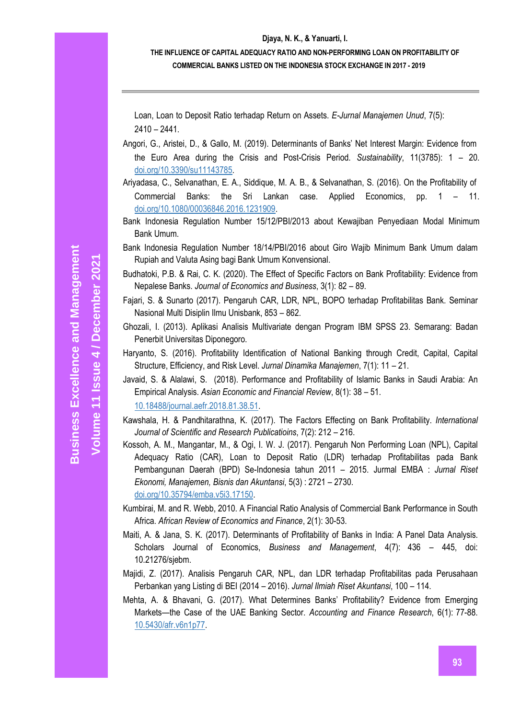# **THE INFLUENCE OF CAPITAL ADEQUACY RATIO AND NON-PERFORMING LOAN ON PROFITABILITY OF COMMERCIAL BANKS LISTED ON THE INDONESIA STOCK EXCHANGE IN 2017 - 2019**

Loan, Loan to Deposit Ratio terhadap Return on Assets. *E-Jurnal Manajemen Unud*, 7(5): 2410 – 2441.

- Angori, G., Aristei, D., & Gallo, M. (2019). Determinants of Banks' Net Interest Margin: Evidence from the Euro Area during the Crisis and Post-Crisis Period. *Sustainability*, 11(3785): 1 – 20. doi.org/10.3390/su11143785.
- Ariyadasa, C., Selvanathan, E. A., Siddique, M. A. B., & Selvanathan, S. (2016). On the Profitability of Commercial Banks: the Sri Lankan case. Applied Economics, pp. 1 – 11. doi.org/10.1080/00036846.2016.1231909.
- Bank Indonesia Regulation Number 15/12/PBI/2013 about Kewajiban Penyediaan Modal Minimum Bank Umum.
- Bank Indonesia Regulation Number 18/14/PBI/2016 about Giro Wajib Minimum Bank Umum dalam Rupiah and Valuta Asing bagi Bank Umum Konvensional.
- Budhatoki, P.B. & Rai, C. K. (2020). The Effect of Specific Factors on Bank Profitability: Evidence from Nepalese Banks. *Journal of Economics and Business*, 3(1): 82 – 89.
- Fajari, S. & Sunarto (2017). Pengaruh CAR, LDR, NPL, BOPO terhadap Profitabilitas Bank. Seminar Nasional Multi Disiplin Ilmu Unisbank, 853 – 862.
- Ghozali, I. (2013). Aplikasi Analisis Multivariate dengan Program IBM SPSS 23. Semarang: Badan Penerbit Universitas Diponegoro.
- Haryanto, S. (2016). Profitability Identification of National Banking through Credit, Capital, Capital Structure, Efficiency, and Risk Level. *Jurnal Dinamika Manajemen*, 7(1): 11 – 21.
- Javaid, S. & Alalawi, S. (2018). Performance and Profitability of Islamic Banks in Saudi Arabia: An Empirical Analysis. *Asian Economic and Financial Review*, 8(1): 38 – 51. 10.18488/journal.aefr.2018.81.38.51.
- Kawshala, H. & Pandhitarathna, K. (2017). The Factors Effecting on Bank Profitability. *International Journal of Scientific and Research Publicatioins*, 7(2): 212 – 216.
- Kossoh, A. M., Mangantar, M., & Ogi, I. W. J. (2017). Pengaruh Non Performing Loan (NPL), Capital Adequacy Ratio (CAR), Loan to Deposit Ratio (LDR) terhadap Profitabilitas pada Bank Pembangunan Daerah (BPD) Se-Indonesia tahun 2011 – 2015. Jurmal EMBA : *Jurnal Riset Ekonomi, Manajemen, Bisnis dan Akuntansi*, 5(3) : 2721 – 2730. doi.org/10.35794/emba.v5i3.17150.
- Kumbirai, M. and R. Webb, 2010. A Financial Ratio Analysis of Commercial Bank Performance in South Africa. *African Review of Economics and Finance*, 2(1): 30-53.
- Maiti, A. & Jana, S. K. (2017). Determinants of Profitability of Banks in India: A Panel Data Analysis. Scholars Journal of Economics, *Business and Management*, 4(7): 436 – 445, doi: 10.21276/sjebm.
- Majidi, Z. (2017). Analisis Pengaruh CAR, NPL, dan LDR terhadap Profitabilitas pada Perusahaan Perbankan yang Listing di BEI (2014 – 2016). *Jurnal Ilmiah Riset Akuntansi*, 100 – 114.
- Mehta, A. & Bhavani, G. (2017). What Determines Banks' Profitability? Evidence from Emerging Markets—the Case of the UAE Banking Sector. *Accounting and Finance Research*, 6(1): 77-88. 10.5430/afr.v6n1p77.